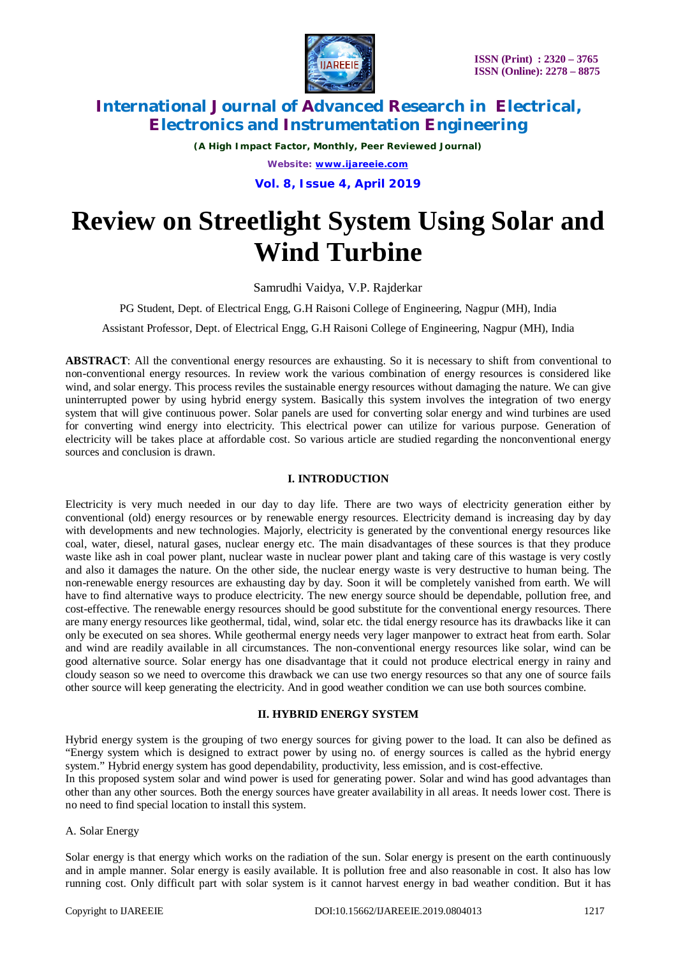

*(A High Impact Factor, Monthly, Peer Reviewed Journal) Website: [www.ijareeie.com](http://www.ijareeie.com)* **Vol. 8, Issue 4, April 2019**

# **Review on Streetlight System Using Solar and Wind Turbine**

Samrudhi Vaidya, V.P. Rajderkar

PG Student, Dept. of Electrical Engg, G.H Raisoni College of Engineering, Nagpur (MH), India

Assistant Professor, Dept. of Electrical Engg, G.H Raisoni College of Engineering, Nagpur (MH), India

**ABSTRACT**: All the conventional energy resources are exhausting. So it is necessary to shift from conventional to non-conventional energy resources. In review work the various combination of energy resources is considered like wind, and solar energy. This process reviles the sustainable energy resources without damaging the nature. We can give uninterrupted power by using hybrid energy system. Basically this system involves the integration of two energy system that will give continuous power. Solar panels are used for converting solar energy and wind turbines are used for converting wind energy into electricity. This electrical power can utilize for various purpose. Generation of electricity will be takes place at affordable cost. So various article are studied regarding the nonconventional energy sources and conclusion is drawn.

### **I. INTRODUCTION**

Electricity is very much needed in our day to day life. There are two ways of electricity generation either by conventional (old) energy resources or by renewable energy resources. Electricity demand is increasing day by day with developments and new technologies. Majorly, electricity is generated by the conventional energy resources like coal, water, diesel, natural gases, nuclear energy etc. The main disadvantages of these sources is that they produce waste like ash in coal power plant, nuclear waste in nuclear power plant and taking care of this wastage is very costly and also it damages the nature. On the other side, the nuclear energy waste is very destructive to human being. The non-renewable energy resources are exhausting day by day. Soon it will be completely vanished from earth. We will have to find alternative ways to produce electricity. The new energy source should be dependable, pollution free, and cost-effective. The renewable energy resources should be good substitute for the conventional energy resources. There are many energy resources like geothermal, tidal, wind, solar etc. the tidal energy resource has its drawbacks like it can only be executed on sea shores. While geothermal energy needs very lager manpower to extract heat from earth. Solar and wind are readily available in all circumstances. The non-conventional energy resources like solar, wind can be good alternative source. Solar energy has one disadvantage that it could not produce electrical energy in rainy and cloudy season so we need to overcome this drawback we can use two energy resources so that any one of source fails other source will keep generating the electricity. And in good weather condition we can use both sources combine.

#### **II. HYBRID ENERGY SYSTEM**

Hybrid energy system is the grouping of two energy sources for giving power to the load. It can also be defined as "Energy system which is designed to extract power by using no. of energy sources is called as the hybrid energy system." Hybrid energy system has good dependability, productivity, less emission, and is cost-effective.

In this proposed system solar and wind power is used for generating power. Solar and wind has good advantages than other than any other sources. Both the energy sources have greater availability in all areas. It needs lower cost. There is no need to find special location to install this system.

#### A. Solar Energy

Solar energy is that energy which works on the radiation of the sun. Solar energy is present on the earth continuously and in ample manner. Solar energy is easily available. It is pollution free and also reasonable in cost. It also has low running cost. Only difficult part with solar system is it cannot harvest energy in bad weather condition. But it has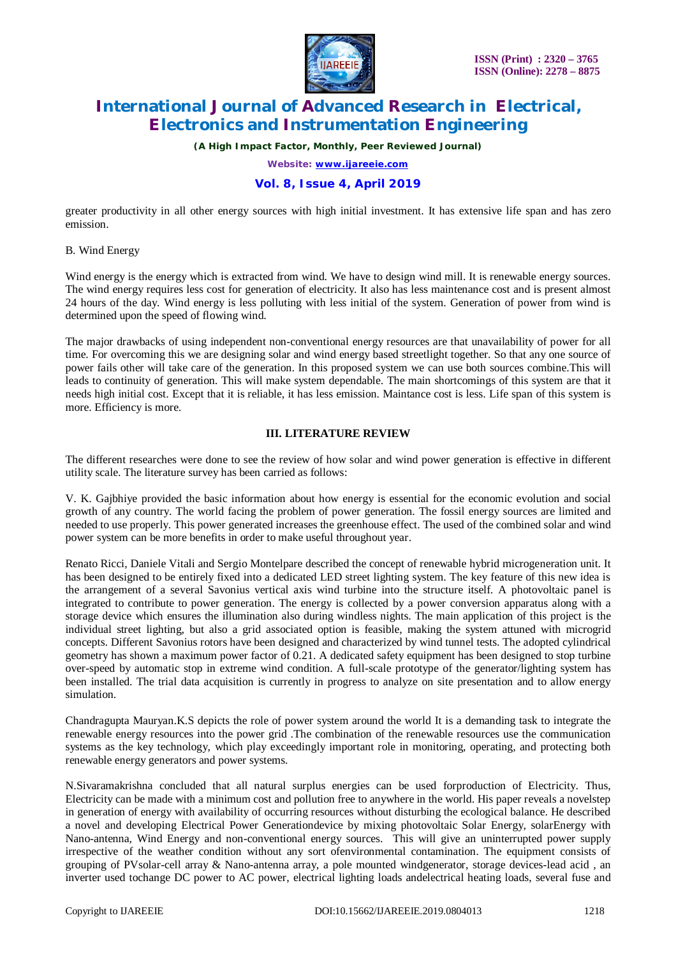

*(A High Impact Factor, Monthly, Peer Reviewed Journal)*

*Website: [www.ijareeie.com](http://www.ijareeie.com)*

## **Vol. 8, Issue 4, April 2019**

greater productivity in all other energy sources with high initial investment. It has extensive life span and has zero emission.

#### B. Wind Energy

Wind energy is the energy which is extracted from wind. We have to design wind mill. It is renewable energy sources. The wind energy requires less cost for generation of electricity. It also has less maintenance cost and is present almost 24 hours of the day. Wind energy is less polluting with less initial of the system. Generation of power from wind is determined upon the speed of flowing wind.

The major drawbacks of using independent non-conventional energy resources are that unavailability of power for all time. For overcoming this we are designing solar and wind energy based streetlight together. So that any one source of power fails other will take care of the generation. In this proposed system we can use both sources combine.This will leads to continuity of generation. This will make system dependable. The main shortcomings of this system are that it needs high initial cost. Except that it is reliable, it has less emission. Maintance cost is less. Life span of this system is more. Efficiency is more.

#### **III. LITERATURE REVIEW**

The different researches were done to see the review of how solar and wind power generation is effective in different utility scale. The literature survey has been carried as follows:

V. K. Gajbhiye provided the basic information about how energy is essential for the economic evolution and social growth of any country. The world facing the problem of power generation. The fossil energy sources are limited and needed to use properly. This power generated increases the greenhouse effect. The used of the combined solar and wind power system can be more benefits in order to make useful throughout year.

Renato Ricci, Daniele Vitali and Sergio Montelpare described the concept of renewable hybrid microgeneration unit. It has been designed to be entirely fixed into a dedicated LED street lighting system. The key feature of this new idea is the arrangement of a several Savonius vertical axis wind turbine into the structure itself. A photovoltaic panel is integrated to contribute to power generation. The energy is collected by a power conversion apparatus along with a storage device which ensures the illumination also during windless nights. The main application of this project is the individual street lighting, but also a grid associated option is feasible, making the system attuned with microgrid concepts. Different Savonius rotors have been designed and characterized by wind tunnel tests. The adopted cylindrical geometry has shown a maximum power factor of 0.21. A dedicated safety equipment has been designed to stop turbine over-speed by automatic stop in extreme wind condition. A full-scale prototype of the generator/lighting system has been installed. The trial data acquisition is currently in progress to analyze on site presentation and to allow energy simulation.

Chandragupta Mauryan.K.S depicts the role of power system around the world It is a demanding task to integrate the renewable energy resources into the power grid .The combination of the renewable resources use the communication systems as the key technology, which play exceedingly important role in monitoring, operating, and protecting both renewable energy generators and power systems.

N.Sivaramakrishna concluded that all natural surplus energies can be used forproduction of Electricity. Thus, Electricity can be made with a minimum cost and pollution free to anywhere in the world. His paper reveals a novelstep in generation of energy with availability of occurring resources without disturbing the ecological balance. He described a novel and developing Electrical Power Generationdevice by mixing photovoltaic Solar Energy, solarEnergy with Nano-antenna, Wind Energy and non-conventional energy sources. This will give an uninterrupted power supply irrespective of the weather condition without any sort ofenvironmental contamination. The equipment consists of grouping of PVsolar-cell array & Nano-antenna array, a pole mounted windgenerator, storage devices-lead acid , an inverter used tochange DC power to AC power, electrical lighting loads andelectrical heating loads, several fuse and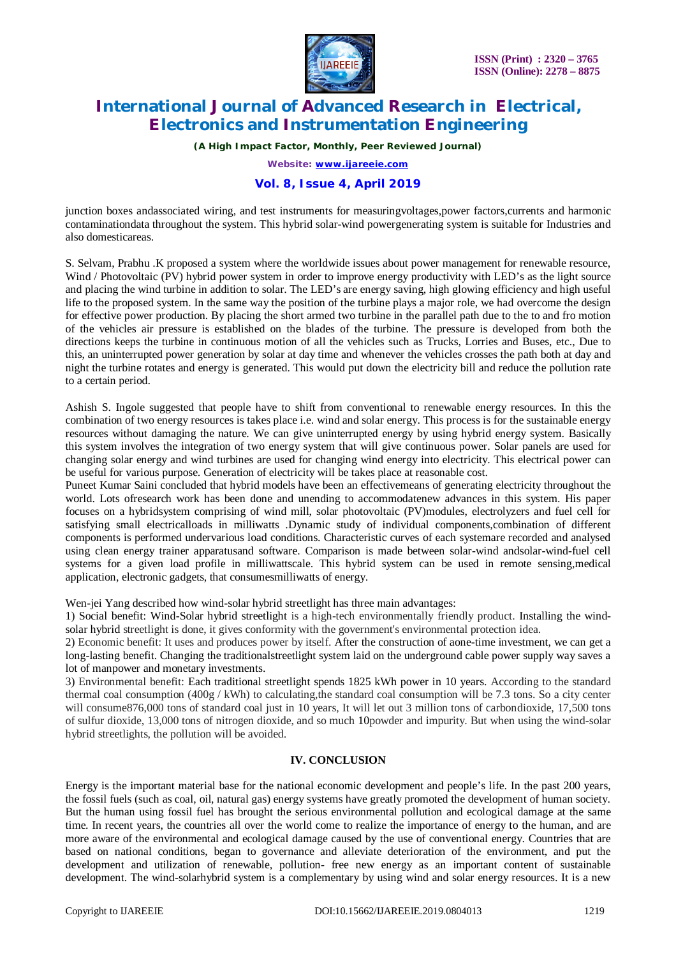

*(A High Impact Factor, Monthly, Peer Reviewed Journal)*

*Website: [www.ijareeie.com](http://www.ijareeie.com)*

## **Vol. 8, Issue 4, April 2019**

junction boxes andassociated wiring, and test instruments for measuringvoltages,power factors,currents and harmonic contaminationdata throughout the system. This hybrid solar-wind powergenerating system is suitable for Industries and also domesticareas.

S. Selvam, Prabhu .K proposed a system where the worldwide issues about power management for renewable resource, Wind / Photovoltaic (PV) hybrid power system in order to improve energy productivity with LED's as the light source and placing the wind turbine in addition to solar. The LED's are energy saving, high glowing efficiency and high useful life to the proposed system. In the same way the position of the turbine plays a major role, we had overcome the design for effective power production. By placing the short armed two turbine in the parallel path due to the to and fro motion of the vehicles air pressure is established on the blades of the turbine. The pressure is developed from both the directions keeps the turbine in continuous motion of all the vehicles such as Trucks, Lorries and Buses, etc., Due to this, an uninterrupted power generation by solar at day time and whenever the vehicles crosses the path both at day and night the turbine rotates and energy is generated. This would put down the electricity bill and reduce the pollution rate to a certain period.

Ashish S. Ingole suggested that people have to shift from conventional to renewable energy resources. In this the combination of two energy resources is takes place i.e. wind and solar energy. This process is for the sustainable energy resources without damaging the nature. We can give uninterrupted energy by using hybrid energy system. Basically this system involves the integration of two energy system that will give continuous power. Solar panels are used for changing solar energy and wind turbines are used for changing wind energy into electricity. This electrical power can be useful for various purpose. Generation of electricity will be takes place at reasonable cost.

Puneet Kumar Saini concluded that hybrid models have been an effectivemeans of generating electricity throughout the world. Lots ofresearch work has been done and unending to accommodatenew advances in this system. His paper focuses on a hybridsystem comprising of wind mill, solar photovoltaic (PV)modules, electrolyzers and fuel cell for satisfying small electricalloads in milliwatts .Dynamic study of individual components,combination of different components is performed undervarious load conditions. Characteristic curves of each systemare recorded and analysed using clean energy trainer apparatusand software. Comparison is made between solar-wind andsolar-wind-fuel cell systems for a given load profile in milliwattscale. This hybrid system can be used in remote sensing,medical application, electronic gadgets, that consumesmilliwatts of energy.

Wen-jei Yang described how wind-solar hybrid streetlight has three main advantages:

1) Social benefit: Wind-Solar hybrid streetlight is a high-tech environmentally friendly product. Installing the windsolar hybrid streetlight is done, it gives conformity with the government's environmental protection idea.

2) Economic benefit: It uses and produces power by itself. After the construction of aone-time investment, we can get a long-lasting benefit. Changing the traditionalstreetlight system laid on the underground cable power supply way saves a lot of manpower and monetary investments.

3) Environmental benefit: Each traditional streetlight spends 1825 kWh power in 10 years. According to the standard thermal coal consumption  $(400g / kWh)$  to calculating, the standard coal consumption will be 7.3 tons. So a city center will consume876,000 tons of standard coal just in 10 years, It will let out 3 million tons of carbondioxide, 17,500 tons of sulfur dioxide, 13,000 tons of nitrogen dioxide, and so much 10powder and impurity. But when using the wind-solar hybrid streetlights, the pollution will be avoided.

#### **IV. CONCLUSION**

Energy is the important material base for the national economic development and people's life. In the past 200 years, the fossil fuels (such as coal, oil, natural gas) energy systems have greatly promoted the development of human society. But the human using fossil fuel has brought the serious environmental pollution and ecological damage at the same time. In recent years, the countries all over the world come to realize the importance of energy to the human, and are more aware of the environmental and ecological damage caused by the use of conventional energy. Countries that are based on national conditions, began to governance and alleviate deterioration of the environment, and put the development and utilization of renewable, pollution- free new energy as an important content of sustainable development. The wind-solarhybrid system is a complementary by using wind and solar energy resources. It is a new